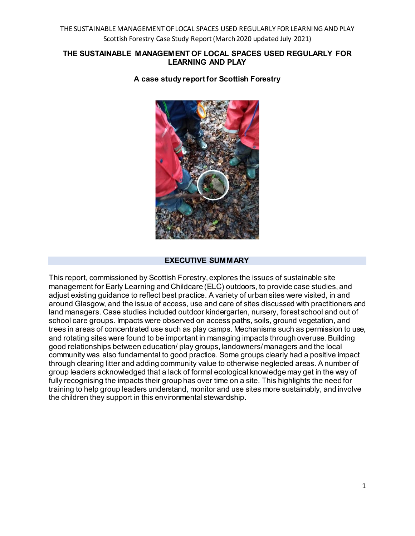#### **THE SUSTAINABLE MANAGEMENT OF LOCAL SPACES USED REGULARLY FOR LEARNING AND PLAY**



**A case study report for Scottish Forestry**

#### **EXECUTIVE SUMMARY**

This report, commissioned by Scottish Forestry, explores the issues of sustainable site management for Early Learning and Childcare (ELC) outdoors, to provide case studies, and adjust existing guidance to reflect best practice. A variety of urban sites were visited, in and around Glasgow, and the issue of access, use and care of sites discussed with practitioners and land managers. Case studies included outdoor kindergarten, nursery, forest school and out of school care groups. Impacts were observed on access paths, soils, ground vegetation, and trees in areas of concentrated use such as play camps. Mechanisms such as permission to use, and rotating sites were found to be important in managing impacts through overuse. Building good relationships between education/ play groups, landowners/ managers and the local community was also fundamental to good practice. Some groups clearly had a positive impact through clearing litter and adding community value to otherwise neglected areas. A number of group leaders acknowledged that a lack of formal ecological knowledge may get in the way of fully recognising the impacts their group has over time on a site. This highlights the need for training to help group leaders understand, monitor and use sites more sustainably, and involve the children they support in this environmental stewardship.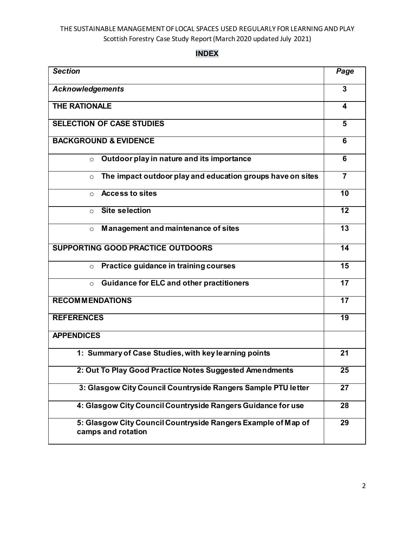**INDEX**

| <b>Section</b>                                                                      | Page                    |
|-------------------------------------------------------------------------------------|-------------------------|
| <b>Acknowledgements</b>                                                             | 3                       |
| <b>THE RATIONALE</b>                                                                | 4                       |
| <b>SELECTION OF CASE STUDIES</b>                                                    | $\overline{\mathbf{5}}$ |
| <b>BACKGROUND &amp; EVIDENCE</b>                                                    | 6                       |
| Outdoor play in nature and its importance<br>$\circ$                                | 6                       |
| The impact outdoor play and education groups have on sites<br>$\Omega$              | $\overline{7}$          |
| <b>Access to sites</b><br>$\circ$                                                   | $\overline{10}$         |
| <b>Site selection</b><br>$\circ$                                                    | 12                      |
| Management and maintenance of sites<br>$\circ$                                      | 13                      |
| <b>SUPPORTING GOOD PRACTICE OUTDOORS</b>                                            | 14                      |
| Practice guidance in training courses<br>$\circ$                                    | 15                      |
| <b>Guidance for ELC and other practitioners</b><br>$\circ$                          | 17                      |
| <b>RECOMMENDATIONS</b>                                                              | 17                      |
| <b>REFERENCES</b>                                                                   | $\overline{19}$         |
| <b>APPENDICES</b>                                                                   |                         |
| 1: Summary of Case Studies, with key learning points                                | 21                      |
| 2: Out To Play Good Practice Notes Suggested Amendments                             | 25                      |
| 3: Glasgow City Council Countryside Rangers Sample PTU letter                       | $\overline{27}$         |
| 4: Glasgow City Council Countryside Rangers Guidance for use                        | 28                      |
| 5: Glasgow City Council Countryside Rangers Example of Map of<br>camps and rotation | 29                      |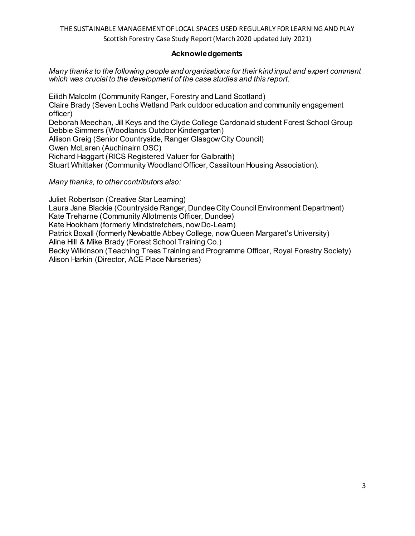#### **Acknowledgements**

#### *Many thanks to the following people and organisations for their kind input and expert comment which was crucial to the development of the case studies and this report.*

Eilidh Malcolm (Community Ranger, Forestry and Land Scotland) Claire Brady (Seven Lochs Wetland Park outdoor education and community engagement officer) Deborah Meechan, Jill Keys and the Clyde College Cardonald student Forest School Group Debbie Simmers (Woodlands Outdoor Kindergarten) Allison Greig (Senior Countryside, Ranger Glasgow City Council) Gwen McLaren (Auchinairn OSC)

Richard Haggart (RICS Registered Valuer for Galbraith)

Stuart Whittaker (Community Woodland Officer, Cassiltoun Housing Association).

*Many thanks, to other contributors also:* 

Juliet Robertson (Creative Star Learning) Laura Jane Blackie (Countryside Ranger, Dundee City Council Environment Department) Kate Treharne (Community Allotments Officer, Dundee) Kate Hookham (formerly Mindstretchers, now Do-Learn) Patrick Boxall (formerly Newbattle Abbey College, now Queen Margaret's University) Aline Hill & Mike Brady (Forest School Training Co.) Becky Wilkinson (Teaching Trees Training and Programme Officer, Royal Forestry Society) Alison Harkin (Director, ACE Place Nurseries)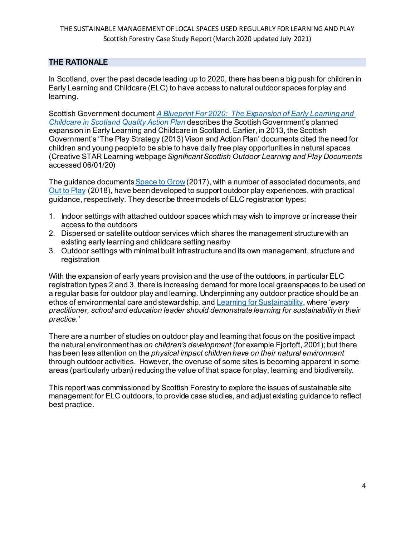### **THE RATIONALE**

In Scotland, over the past decade leading up to 2020, there has been a big push for children in Early Learning and Childcare (ELC) to have access to natural outdoor spaces for play and learning.

Scottish Government document *[A Blueprint For 2020: The Expansion of Early Learning and](http://www.gov.scot/Resource/0052/00526782.pdf)  [Childcare in Scotland Quality Action Plan](http://www.gov.scot/Resource/0052/00526782.pdf)* describes the Scottish Government's planned expansion in Early Learning and Childcare in Scotland. Earlier, in 2013, the Scottish Government's 'The Play Strategy (2013) Vison and Action Plan' documents cited the need for children and young people to be able to have daily free play opportunities in natural spaces (Creative STAR Learning webpage *Significant Scottish Outdoor Learning and Play Documents* accessed 06/01/20)

The guidance document[s Space to Grow](https://hub.careinspectorate.com/media/549001/space-to-grow.pdf) (2017), with a number of associated documents, and [Out to Play](https://www2.gov.scot/Resource/0054/00544754.pdf) (2018), have been developed to support outdoor play experiences, with practical guidance, respectively. They describe three models of ELC registration types:

- 1. Indoor settings with attached outdoor spaces which may wish to improve or increase their access to the outdoors
- 2. Dispersed or satellite outdoor services which shares the management structure with an existing early learning and childcare setting nearby
- 3. Outdoor settings with minimal built infrastructure and its own management, structure and registration

With the expansion of early years provision and the use of the outdoors, in particular ELC registration types 2 and 3, there is increasing demand for more local greenspaces to be used on a regular basis for outdoor play and learning. Underpinning any outdoor practice should be an ethos of environmental care and stewardship, an[d Learning for Sustainability](https://education.gov.scot/improvement/learning-resources/a-summary-of-learning-for-sustainability-resources), where '*every practitioner, school and education leader should demonstrate learning for sustainability in their practice.'*

There are a number of studies on outdoor play and learning that focus on the positive impact the natural environment has *on children's development* (for example Fjortoft, 2001); but there has been less attention on the *physical impact children have on their natural environment* through outdoor activities. However, the overuse of some sites is becoming apparent in some areas (particularly urban) reducing the value of that space for play, learning and biodiversity.

This report was commissioned by Scottish Forestry to explore the issues of sustainable site management for ELC outdoors, to provide case studies, and adjust existing guidance to reflect best practice.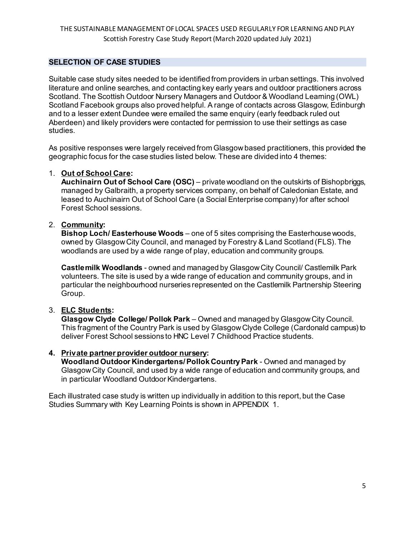## **SELECTION OF CASE STUDIES**

Suitable case study sites needed to be identified from providers in urban settings. This involved literature and online searches, and contacting key early years and outdoor practitioners across Scotland. The Scottish Outdoor Nursery Managers and Outdoor & Woodland Learning (OWL) Scotland Facebook groups also proved helpful. A range of contacts across Glasgow, Edinburgh and to a lesser extent Dundee were emailed the same enquiry (early feedback ruled out Aberdeen) and likely providers were contacted for permission to use their settings as case studies.

As positive responses were largely received from Glasgow based practitioners, this provided the geographic focus for the case studies listed below. These are divided into 4 themes:

### 1. **Out of School Care:**

**Auchinairn Out of School Care (OSC)** – private woodland on the outskirts of Bishopbriggs, managed by Galbraith, a property services company, on behalf of Caledonian Estate, and leased to Auchinairn Out of School Care (a Social Enterprise company) for after school Forest School sessions.

## 2. **Community:**

**Bishop Loch/ Easterhouse Woods** – one of 5 sites comprising the Easterhouse woods, owned by Glasgow City Council, and managed by Forestry & Land Scotland (FLS). The woodlands are used by a wide range of play, education and community groups.

**Castlemilk Woodlands** - owned and managed by Glasgow City Council/ Castlemilk Park volunteers. The site is used by a wide range of education and community groups, and in particular the neighbourhood nurseries represented on the Castlemilk Partnership Steering Group.

## 3. **ELC Students:**

**Glasgow Clyde College/ Pollok Park** – Owned and managed by Glasgow City Council. This fragment of the Country Park is used by Glasgow Clyde College (Cardonald campus) to deliver Forest School sessions to HNC Level 7 Childhood Practice students.

#### **4. Private partner provider outdoor nursery:**

**Woodland Outdoor Kindergartens/ Pollok Country Park** - Owned and managed by Glasgow City Council, and used by a wide range of education and community groups, and in particular Woodland Outdoor Kindergartens.

Each illustrated case study is written up individually in addition to this report, but the Case Studies Summary with Key Learning Points is shown in APPENDIX 1.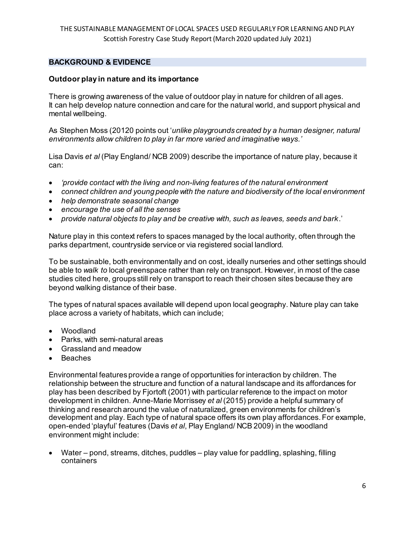### **BACKGROUND & EVIDENCE**

#### **Outdoor play in nature and its importance**

There is growing awareness of the value of outdoor play in nature for children of all ages. It can help develop nature connection and care for the natural world, and support physical and mental wellbeing.

As Stephen Moss (20120 points out '*unlike playgrounds created by a human designer, natural environments allow children to play in far more varied and imaginative ways.'*

Lisa Davis *et al* (Play England/ NCB 2009) describe the importance of nature play, because it can:

- *'provide contact with the living and non-living features of the natural environment*
- *connect children and young people with the nature and biodiversity of the local environment*
- *help demonstrate seasonal change*
- *encourage the use of all the senses*
- *provide natural objects to play and be creative with, such as leaves, seeds and bark*.'

Nature play in this context refers to spaces managed by the local authority, often through the parks department, countryside service or via registered social landlord.

To be sustainable, both environmentally and on cost, ideally nurseries and other settings should be able to *walk to* local greenspace rather than rely on transport. However, in most of the case studies cited here, groups still rely on transport to reach their chosen sites because they are beyond walking distance of their base.

The types of natural spaces available will depend upon local geography. Nature play can take place across a variety of habitats, which can include;

- Woodland
- Parks, with semi-natural areas
- Grassland and meadow
- Beaches

Environmental features provide a range of opportunities for interaction by children. The relationship between the structure and function of a natural landscape and its affordances for play has been described by Fjortoft (2001) with particular reference to the impact on motor development in children. Anne-Marie Morrissey *et al* (2015) provide a helpful summary of thinking and research around the value of naturalized, green environments for children's development and play. Each type of natural space offers its own play affordances. For example, open-ended 'playful' features (Davis *et al*, Play England/ NCB 2009) in the woodland environment might include:

• Water – pond, streams, ditches, puddles – play value for paddling, splashing, filling containers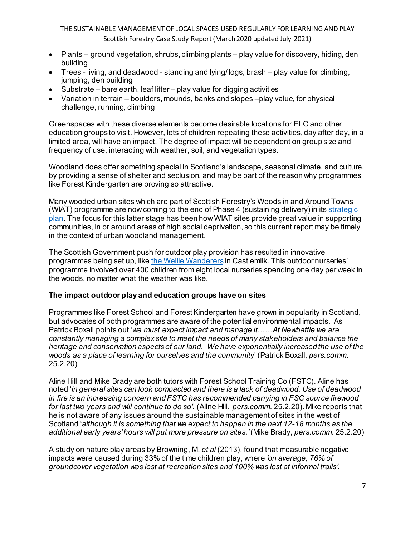- Plants ground vegetation, shrubs, climbing plants play value for discovery, hiding, den building
- Trees living, and deadwood standing and lying/ logs, brash play value for climbing, jumping, den building
- Substrate bare earth, leaf litter play value for digging activities
- Variation in terrain boulders, mounds, banks and slopes –play value, for physical challenge, running, climbing

Greenspaces with these diverse elements become desirable locations for ELC and other education groups to visit. However, lots of children repeating these activities, day after day, in a limited area, will have an impact. The degree of impact will be dependent on group size and frequency of use, interacting with weather, soil, and vegetation types.

Woodland does offer something special in Scotland's landscape, seasonal climate, and culture, by providing a sense of shelter and seclusion, and may be part of the reason why programmes like Forest Kindergarten are proving so attractive.

Many wooded urban sites which are part of Scottish Forestry's Woods in and Around Towns (WIAT) programme are now coming to the end of Phase 4 (sustaining delivery) in it[s strategic](https://forestry.gov.scot/images/corporate/pdf/wiat-framework.pdf)  [plan.](https://forestry.gov.scot/images/corporate/pdf/wiat-framework.pdf) The focus for this latter stage has been how WIAT sites provide great value in supporting communities, in or around areas of high social deprivation, so this current report may be timely in the context of urban woodland management.

The Scottish Government push for outdoor play provision has resulted in innovative programmes being set up, lik[e the Wellie Wanderers](https://www.glasgowlive.co.uk/news/glasgow-news/innovative-pilot-programme-aims-take-13927131) in Castlemilk. This outdoor nurseries' programme involved over 400 children from eight local nurseries spending one day per week in the woods, no matter what the weather was like.

# **The impact outdoor play and education groups have on sites**

Programmes like Forest School and Forest Kindergarten have grown in popularity in Scotland, but advocates of both programmes are aware of the potential environmental impacts. As Patrick Boxall points out '*we must expect impact and manage it*……*At Newbattle we are constantly managing a complex site to meet the needs of many stakeholders and balance the heritage and conservation aspects of our land. We have exponentially increased the use of the woods as a place of learning for ourselves and the communit*y' (Patrick Boxall, *pers.comm*. 25.2.20)

Aline Hill and Mike Brady are both tutors with Forest School Training Co (FSTC). Aline has noted '*in general sites can look compacted and there is a lack of deadwood. Use of deadwood in fire is an increasing concern and FSTC has recommended carrying in FSC source firewood for last two years and will continue to do so'*. (Aline Hill, *pers.comm*. 25.2.20). Mike reports that he is not aware of any issues around the sustainable management of sites in the west of Scotland '*although it is something that we expect to happen in the next 12-18 months as the additional early years'hours will put more pressure on sites.'* (Mike Brady, *pers.comm*. 25.2.20)

A study on nature play areas by Browning, M. *et al* (2013), found that measurable negative impacts were caused during 33% of the time children play, where *'on average, 76% of groundcover vegetation was lost at recreation sites and 100% was lost at informal trails'.*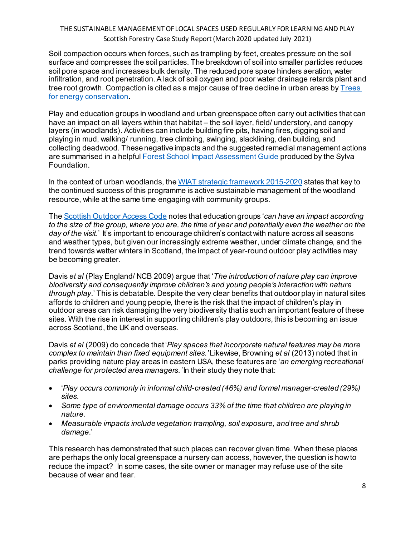Soil compaction occurs when forces, such as trampling by feet, creates pressure on the soil surface and compresses the soil particles. The breakdown of soil into smaller particles reduces soil pore space and increases bulk density. The reduced pore space hinders aeration, water infiltration, and root penetration. A lack of soil oxygen and poor water drainage retards plant and tree root growth. Compaction is cited as a major cause of tree decline in urban areas by [Trees](https://trees-energy-conservation.extension.org/how-to-correct-soil-compaction/)  [for energy conservation](https://trees-energy-conservation.extension.org/how-to-correct-soil-compaction/).

Play and education groups in woodland and urban greenspace often carry out activities that can have an impact on all layers within that habitat – the soil layer, field/ understory, and canopy layers (in woodlands). Activities can include building fire pits, having fires, digging soil and playing in mud, walking/ running, tree climbing, swinging, slacklining, den building, and collecting deadwood. These negative impacts and the suggested remedial management actions are summarised in a helpful **Forest School Impact Assessment Guide produced by the Sylva** Foundation.

In the context of urban woodlands, th[e WIAT strategic framework 2015-2020](https://forestry.gov.scot/images/corporate/pdf/wiat-framework.pdf) states that key to the continued success of this programme is active sustainable management of the woodland resource, while at the same time engaging with community groups.

The [Scottish Outdoor Access Code](https://www.outdooraccess-scotland.scot/practical-guide-all/outdoor-learning) notes that education groups '*can have an impact according to the size of the group, where you are, the time of year and potentially even the weather on the*  day of the visit.' It's important to encourage children's contact with nature across all seasons and weather types, but given our increasingly extreme weather, under climate change, and the trend towards wetter winters in Scotland, the impact of year-round outdoor play activities may be becoming greater.

Davis *et al* (Play England/ NCB 2009) argue that '*The introduction of nature play can improve biodiversity and consequently improve children's and young people's interaction with nature through play*.' This is debatable. Despite the very clear benefits that outdoor play in natural sites affords to children and young people, there is the risk that the impact of children's play in outdoor areas can risk damaging the very biodiversity that is such an important feature of these sites. With the rise in interest in supporting children's play outdoors, this is becoming an issue across Scotland, the UK and overseas.

Davis *et al* (2009) do concede that '*Play spaces that incorporate natural features may be more complex to maintain than fixed equipment sites.'*Likewise, Browning *et al* (2013) noted that in parks providing nature play areas in eastern USA, these features are '*an emerging recreational challenge for protected area managers.'*In their study they note that:

- '*Play occurs commonly in informal child-created (46%) and formal manager-created (29%) sites.*
- *Some type of environmental damage occurs 33% of the time that children are playing in nature.*
- *Measurable impacts include vegetation trampling, soil exposure, and tree and shrub damage*.'

This research has demonstrated that such places can recover given time. When these places are perhaps the only local greenspace a nursery can access, however, the question is how to reduce the impact? In some cases, the site owner or manager may refuse use of the site because of wear and tear.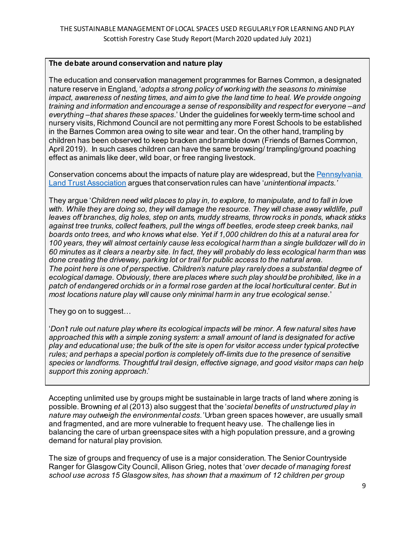### **The debate around conservation and nature play**

The education and conservation management programmes for Barnes Common, a designated nature reserve in England, '*adopts a strong policy of working with the seasons to minimise impact, awareness of nesting times, and aim to give the land time to heal. We provide ongoing training and information and encourage a sense of responsibility and respect for everyone –and everything –that shares these spaces*.' Under the guidelines for weekly term-time school and nursery visits, Richmond Council are not permitting any more Forest Schools to be established in the Barnes Common area owing to site wear and tear. On the other hand, trampling by children has been observed to keep bracken and bramble down (Friends of Barnes Common, April 2019). In such cases children can have the same browsing/ trampling/ground poaching effect as animals like deer, wild boar, or free ranging livestock.

Conservation concerns about the impacts of nature play are widespread, but th[e Pennsylvania](http://conserveland.org/)  [Land Trust Association](http://conserveland.org/) argues that conservation rules can have '*unintentional impacts.'*

They argue '*Children need wild places to play in, to explore, to manipulate, and to fall in love*  with. While they are doing so, they will damage the resource. They will chase away wildlife, pull *leaves off branches, dig holes, step on ants, muddy streams, throw rocks in ponds, whack sticks against tree trunks, collect feathers, pull the wings off beetles, erode steep creek banks, nail boards onto trees, and who knows what else. Yet if 1,000 children do this at a natural area for 100 years, they will almost certainly cause less ecological harm than a single bulldozer will do in 60 minutes as it clears a nearby site. In fact, they will probably do less ecological harm than was done creating the driveway, parking lot or trail for public access to the natural area. The point here is one of perspective. Children's nature play rarely does a substantial degree of ecological damage. Obviously, there are places where such play should be prohibited, like in a patch of endangered orchids or in a formal rose garden at the local horticultural center. But in most locations nature play will cause only minimal harm in any true ecological sense.*'

They go on to suggest…

'*Don't rule out nature play where its ecological impacts will be minor. A few natural sites have approached this with a simple zoning system: a small amount of land is designated for active play and educational use; the bulk of the site is open for visitor access under typical protective rules; and perhaps a special portion is completely off-limits due to the presence of sensitive species or landforms. Thoughtful trail design, effective signage, and good visitor maps can help support this zoning approach*.'

Accepting unlimited use by groups might be sustainable in large tracts of land where zoning is possible. Browning *et a*l (2013) also suggest that the '*societal benefits of unstructured play in nature may outweigh the environmental costs.'*Urban green spaces however, are usually small and fragmented, and are more vulnerable to frequent heavy use. The challenge lies in balancing the care of urban greenspace sites with a high population pressure, and a growing demand for natural play provision.

The size of groups and frequency of use is a major consideration. The Senior Countryside Ranger for Glasgow City Council, Allison Grieg, notes that '*over decade of managing forest school use across 15 Glasgow sites, has shown that a maximum of 12 children per group*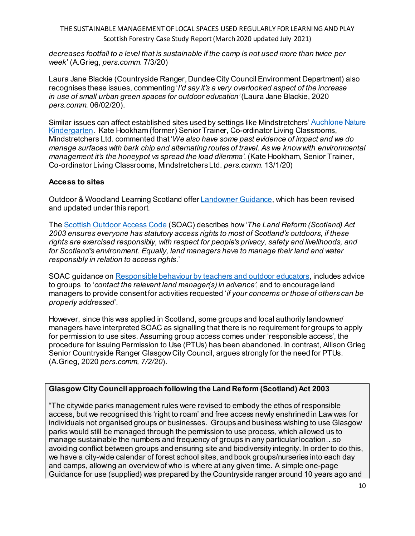*decreases footfall to a level that is sustainable if the camp is not used more than twice per week*' (A.Grieg, *pers.comm*. 7/3/20)

Laura Jane Blackie (Countryside Ranger, Dundee City Council Environment Department) also recognises these issues, commenting '*I'd say it's a very overlooked aspect of the increase in use of small urban green spaces for outdoor education'*(Laura Jane Blackie, 2020 *pers.comm.* 06/02/20).

Similar issues can affect established sites used by settings like Mindstretchers' [Auchlone Nature](https://www.auchlone.co.uk/)  [Kindergarten](https://www.auchlone.co.uk/). Kate Hookham (former) Senior Trainer, Co-ordinator Living Classrooms, Mindstretchers Ltd. commented that '*We also have some past evidence of impact and we do manage surfaces with bark chip and alternating routes of travel. As we know with environmental management it's the honeypot vs spread the load dilemma'*. (Kate Hookham, Senior Trainer, Co-ordinator Living Classrooms, Mindstretchers Ltd. *pers.comm*. 13/1/20)

### **Access to sites**

Outdoor & Woodland Learning Scotland offe[r Landowner Guidance](http://www.owlscotland.org/images/uploads/resources/files/guidance_for_land_ow_1279727048_Aug_2014.pdf), which has been revised and updated under this report.

The [Scottish Outdoor Access Code](https://www.outdooraccess-scotland.scot/) (SOAC) describes how '*The Land Reform (Scotland) Act 2003 ensures everyone has statutory access rights to most of Scotland's outdoors, if these rights are exercised responsibly, with respect for people's privacy, safety and livelihoods, and for Scotland's environment. Equally, land managers have to manage their land and water responsibly in relation to access rights*.'

SOAC quidance o[n Responsible behaviour by teachers and outdoor educators](https://www.outdooraccess-scotland.scot/practical-guide-all/outdoor-learning), includes advice to groups to '*contact the relevant land manager(s) in advance'*, and to encourage land managers to provide consent for activities requested '*if your concerns or those of others can be properly addressed*'.

However, since this was applied in Scotland, some groups and local authority landowner/ managers have interpreted SOAC as signalling that there is no requirement for groups to apply for permission to use sites. Assuming group access comes under 'responsible access', the procedure for issuing Permission to Use (PTUs) has been abandoned. In contrast, Allison Grieg Senior Countryside Ranger Glasgow City Council, argues strongly for the need for PTUs. (A.Grieg, 2020 *pers.comm, 7/2/20*).

## **Glasgow City Council approach following the Land Reform (Scotland) Act 2003**

"The citywide parks management rules were revised to embody the ethos of responsible access, but we recognised this 'right to roam' and free access newly enshrined in Law was for individuals not organised groups or businesses. Groups and business wishing to use Glasgow parks would still be managed through the permission to use process, which allowed us to manage sustainable the numbers and frequency of groups in any particular location…so avoiding conflict between groups and ensuring site and biodiversity integrity. In order to do this, we have a city-wide calendar of forest school sites, and book groups/nurseries into each day and camps, allowing an overview of who is where at any given time. A simple one-page Guidance for use (supplied) was prepared by the Countryside ranger around 10 years ago and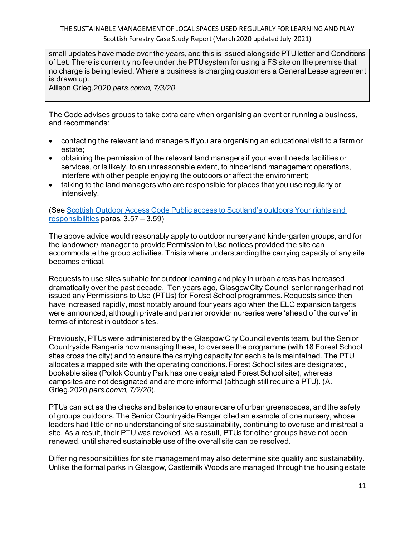small updates have made over the years, and this is issued alongside PTU letter and Conditions of Let. There is currently no fee under the PTU system for using a FS site on the premise that no charge is being levied. Where a business is charging customers a General Lease agreement is drawn up.

Allison Grieg,2020 *pers.comm, 7/3/20*

The Code advises groups to take extra care when organising an event or running a business, and recommends:

- contacting the relevant land managers if you are organising an educational visit to a farm or estate;
- obtaining the permission of the relevant land managers if your event needs facilities or services, or is likely, to an unreasonable extent, to hinder land management operations, interfere with other people enjoying the outdoors or affect the environment;
- talking to the land managers who are responsible for places that you use regularly or intensively.

(See [Scottish Outdoor Access Code Public access to Scotland's outdoors Your rights and](https://www.outdooraccess-scotland.scot/sites/default/files/2018-05/Publication%202005%20-%20Scottish%20Outdoor%20Access%20Code.pdf)  [responsibilities](https://www.outdooraccess-scotland.scot/sites/default/files/2018-05/Publication%202005%20-%20Scottish%20Outdoor%20Access%20Code.pdf) paras. 3.57 – 3.59)

The above advice would reasonably apply to outdoor nursery and kindergarten groups, and for the landowner/ manager to provide Permission to Use notices provided the site can accommodate the group activities. This is where understanding the carrying capacity of any site becomes critical.

Requests to use sites suitable for outdoor learning and play in urban areas has increased dramatically over the past decade. Ten years ago, Glasgow City Council senior ranger had not issued any Permissions to Use (PTUs) for Forest School programmes. Requests since then have increased rapidly, most notably around four years ago when the ELC expansion targets were announced, although private and partner provider nurseries were 'ahead of the curve' in terms of interest in outdoor sites.

Previously, PTUs were administered by the Glasgow City Council events team, but the Senior Countryside Ranger is now managing these, to oversee the programme (with 18 Forest School sites cross the city) and to ensure the carrying capacity for each site is maintained. The PTU allocates a mapped site with the operating conditions. Forest School sites are designated, bookable sites (Pollok Country Park has one designated Forest School site), whereas campsites are not designated and are more informal (although still require a PTU). (A. Grieg,2020 *pers.comm, 7/2/20*).

PTUs can act as the checks and balance to ensure care of urban greenspaces, and the safety of groups outdoors. The Senior Countryside Ranger cited an example of one nursery, whose leaders had little or no understanding of site sustainability, continuing to overuse and mistreat a site. As a result, their PTU was revoked. As a result, PTUs for other groups have not been renewed, until shared sustainable use of the overall site can be resolved.

Differing responsibilities for site management may also determine site quality and sustainability. Unlike the formal parks in Glasgow, Castlemilk Woods are managed through the housing estate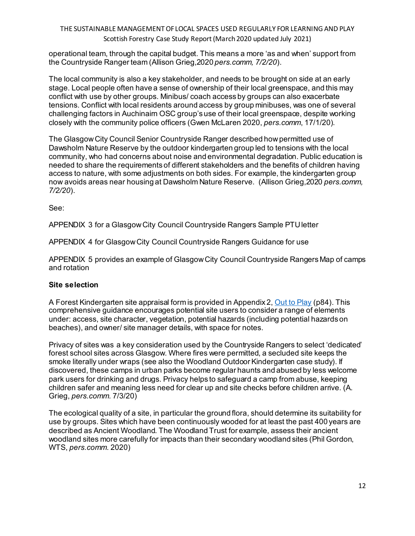operational team, through the capital budget. This means a more 'as and when' support from the Countryside Ranger team (Allison Grieg,2020 *pers.comm, 7/2/20*).

The local community is also a key stakeholder, and needs to be brought on side at an early stage. Local people often have a sense of ownership of their local greenspace, and this may conflict with use by other groups. Minibus/ coach access by groups can also exacerbate tensions. Conflict with local residents around access by group minibuses, was one of several challenging factors in Auchinairn OSC group's use of their local greenspace, despite working closely with the community police officers (Gwen McLaren 2020, *pers.comm*, 17/1/20).

The Glasgow City Council Senior Countryside Ranger described how permitted use of Dawsholm Nature Reserve by the outdoor kindergarten group led to tensions with the local community, who had concerns about noise and environmental degradation. Public education is needed to share the requirements of different stakeholders and the benefits of children having access to nature, with some adjustments on both sides. For example, the kindergarten group now avoids areas near housing at Dawsholm Nature Reserve. (Allison Grieg,2020 *pers.comm, 7/2/20*).

See:

APPENDIX 3 for a Glasgow City Council Countryside Rangers Sample PTU letter

APPENDIX 4 for Glasgow City Council Countryside Rangers Guidance for use

APPENDIX 5 provides an example of Glasgow City Council Countryside Rangers Map of camps and rotation

## **Site selection**

A Forest Kindergarten site appraisal form is provided in Appendix 2[, Out to Play](https://www2.gov.scot/Resource/0054/00544754.pdf) (p84). This comprehensive guidance encourages potential site users to consider a range of elements under: access, site character, vegetation, potential hazards (including potential hazards on beaches), and owner/ site manager details, with space for notes.

Privacy of sites was a key consideration used by the Countryside Rangers to select 'dedicated' forest school sites across Glasgow. Where fires were permitted, a secluded site keeps the smoke literally under wraps (see also the Woodland Outdoor Kindergarten case study). If discovered, these camps in urban parks become regular haunts and abused by less welcome park users for drinking and drugs. Privacy helps to safeguard a camp from abuse, keeping children safer and meaning less need for clear up and site checks before children arrive. (A. Grieg, *pers.comm*. 7/3/20)

The ecological quality of a site, in particular the ground flora, should determine its suitability for use by groups. Sites which have been continuously wooded for at least the past 400 years are described as Ancient Woodland. The Woodland Trust for example, assess their ancient woodland sites more carefully for impacts than their secondary woodland sites (Phil Gordon, WTS, *pers.comm*. 2020)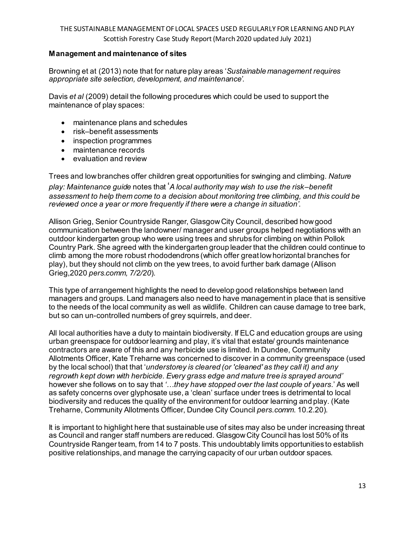#### **Management and maintenance of sites**

Browning et at (2013) note that for nature play areas '*Sustainable management requires appropriate site selection, development, and maintenance'*.

Davis *et al* (2009) detail the following procedures which could be used to support the maintenance of play spaces:

- maintenance plans and schedules
- risk–benefit assessments
- inspection programmes
- maintenance records
- evaluation and review

Trees and low branches offer children great opportunities for swinging and climbing. *Nature play: Maintenance guide* notes that '*A local authority may wish to use the risk–benefit assessment to help them come to a decision about monitoring tree climbing, and this could be reviewed once a year or more frequently if there were a change in situation'*.

Allison Grieg, Senior Countryside Ranger, Glasgow City Council, described how good communication between the landowner/ manager and user groups helped negotiations with an outdoor kindergarten group who were using trees and shrubs for climbing on within Pollok Country Park. She agreed with the kindergarten group leader that the children could continue to climb among the more robust rhododendrons (which offer great low horizontal branches for play), but they should not climb on the yew trees, to avoid further bark damage (Allison Grieg,2020 *pers.comm, 7/2/20*).

This type of arrangement highlights the need to develop good relationships between land managers and groups. Land managers also need to have management in place that is sensitive to the needs of the local community as well as wildlife. Children can cause damage to tree bark, but so can un-controlled numbers of grey squirrels, and deer.

All local authorities have a duty to maintain biodiversity. If ELC and education groups are using urban greenspace for outdoor learning and play, it's vital that estate/ grounds maintenance contractors are aware of this and any herbicide use is limited. In Dundee, Community Allotments Officer, Kate Treharne was concerned to discover in a community greenspace (used by the local school) that that '*understorey is cleared (or 'cleaned' as they call it) and any regrowth kept down with herbicide. Every grass edge and mature tree is sprayed around'*  however she follows on to say that *'…they have stopped over the last couple of years*.' As well as safety concerns over glyphosate use, a 'clean' surface under trees is detrimental to local biodiversity and reduces the quality of the environment for outdoor learning and play. (Kate Treharne, Community Allotments Officer, Dundee City Council *pers.comm*. 10.2.20).

It is important to highlight here that sustainable use of sites may also be under increasing threat as Council and ranger staff numbers are reduced. Glasgow City Council has lost 50% of its Countryside Ranger team, from 14 to 7 posts. This undoubtably limits opportunities to establish positive relationships, and manage the carrying capacity of our urban outdoor spaces.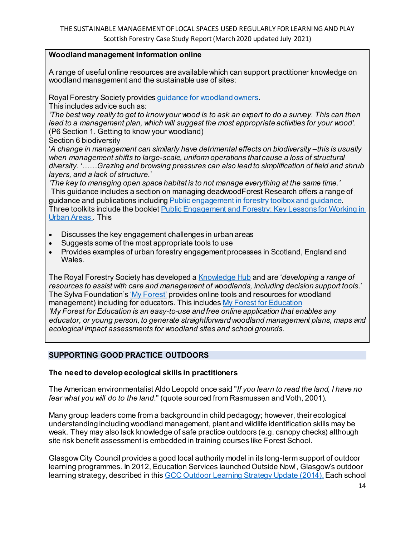#### **Woodland management information online**

A range of useful online resources are available which can support practitioner knowledge on woodland management and the sustainable use of sites:

Royal Forestry Society provide[s guidance for woodland owners.](https://www.rfs.org.uk/learning/forestry-knowledge-hub/woodland-management/so-you-own-a-woodland/)

This includes advice such as:

*'The best way really to get to know your wood is to ask an expert to do a survey. This can then lead to a management plan, which will suggest the most appropriate activities for your wood'.* (P6 Section 1. Getting to know your woodland)

Section 6 biodiversity

'*A change in management can similarly have detrimental effects on biodiversity –this is usually when management shifts to large-scale, uniform operations that cause a loss of structural diversity. '……Grazing and browsing pressures can also lead to simplification of field and shrub layers, and a lack of structure.'*

*'The key to managing open space habitat is to not manage everything at the same time.'* This guidance includes a section on managing deadwoodForest Research offers a range of guidance and publications includin[g Public engagement in forestry toolbox and guidance](https://www.forestresearch.gov.uk/tools-and-resources/public-engagement-in-forestry-toolbox-and-guidance/). Three toolkits include the bookle[t Public Engagement and Forestry: Key Lessons for Working in](https://www.forestresearch.gov.uk/documents/1052/Urban_forestry_public_engagement_lessons.pdf)  [Urban Areas .](https://www.forestresearch.gov.uk/documents/1052/Urban_forestry_public_engagement_lessons.pdf) This

- Discusses the key engagement challenges in urban areas
- Suggests some of the most appropriate tools to use
- Provides examples of urban forestry engagement processes in Scotland, England and Wales.

The Royal Forestry Society has developed [a Knowledge Hub](https://www.rfs.org.uk/learning/forestry-knowledge-hub/) and are '*developing a range of resources to assist with care and management of woodlands, including decision support tools*.' The Sylva Foundation'[s 'My Forest'](https://sylva.org.uk/myforest/) provides online tools and resources for woodland management) including for educators. This include[s My Forest for Education](https://sylva.org.uk/myforest/education-promo) *'My Forest for Education is an easy-to-use and free online application that enables any educator, or young person, to generate straightforward woodland management plans, maps and ecological impact assessments for woodland sites and school grounds.*

#### **SUPPORTING GOOD PRACTICE OUTDOORS**

#### **The need to develop ecological skills in practitioners**

The American environmentalist Aldo Leopold once said "*If you learn to read the land, I have no fear what you will do to the land*." (quote sourced from Rasmussen and Voth, 2001).

Many group leaders come from a background in child pedagogy; however, their ecological understanding including woodland management, plant and wildlife identification skills may be weak. They may also lack knowledge of safe practice outdoors (e.g. canopy checks) although site risk benefit assessment is embedded in training courses like Forest School.

Glasgow City Council provides a good local authority model in its long-term support of outdoor learning programmes. In 2012, Education Services launched Outside Now!, Glasgow's outdoor learning strategy, described in thi[s GCC Outdoor Learning Strategy Update \(2014\).](http://www.glasgow.gov.uk/Councillorsandcommittees/viewSelectedDocument.asp?c=P62AFQUTT1NT81DN) Each school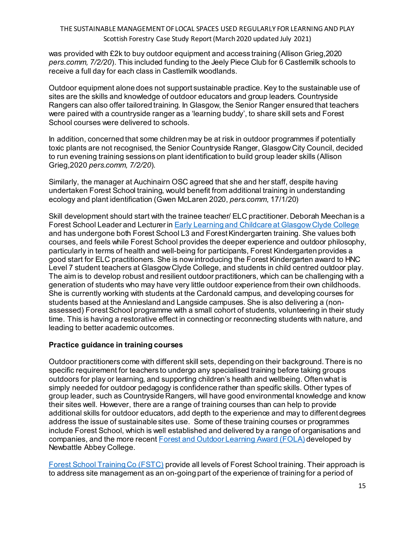was provided with £2k to buy outdoor equipment and access training (Allison Grieg,2020 *pers.comm, 7/2/20*). This included funding to the Jeely Piece Club for 6 Castlemilk schools to receive a full day for each class in Castlemilk woodlands.

Outdoor equipment alone does not support sustainable practice. Key to the sustainable use of sites are the skills and knowledge of outdoor educators and group leaders. Countryside Rangers can also offer tailored training. In Glasgow, the Senior Ranger ensured that teachers were paired with a countryside ranger as a 'learning buddy', to share skill sets and Forest School courses were delivered to schools.

In addition, concerned that some children may be at risk in outdoor programmes if potentially toxic plants are not recognised, the Senior Countryside Ranger, Glasgow City Council, decided to run evening training sessions on plant identification to build group leader skills (Allison Grieg,2020 *pers.comm, 7/2/20*).

Similarly, the manager at Auchinairn OSC agreed that she and her staff, despite having undertaken Forest School training, would benefit from additional training in understanding ecology and plant identification (Gwen McLaren 2020, *pers.comm*, 17/1/20)

Skill development should start with the trainee teacher/ ELC practitioner. Deborah Meechan is a Forest School Leader and Lecturer i[n Early Learning and Childcare at Glasgow Clyde College](https://www.glasgowclyde.ac.uk/study/subject-areas/14-early-learning-and-childcare) and has undergone both Forest School L3 and Forest Kindergarten training. She values both courses, and feels while Forest School provides the deeper experience and outdoor philosophy, particularly in terms of health and well-being for participants, Forest Kindergarten provides a good start for ELC practitioners. She is now introducing the Forest Kindergarten award to HNC Level 7 student teachers at Glasgow Clyde College, and students in child centred outdoor play. The aim is to develop robust and resilient outdoor practitioners, which can be challenging with a generation of students who may have very little outdoor experience from their own childhoods. She is currently working with students at the Cardonald campus, and developing courses for students based at the Anniesland and Langside campuses. She is also delivering a (nonassessed) Forest School programme with a small cohort of students, volunteering in their study time. This is having a restorative effect in connecting or reconnecting students with nature, and leading to better academic outcomes.

#### **Practice guidance in training courses**

Outdoor practitioners come with different skill sets, depending on their background. There is no specific requirement for teachers to undergo any specialised training before taking groups outdoors for play or learning, and supporting children's health and wellbeing. Often what is simply needed for outdoor pedagogy is confidence rather than specific skills. Other types of group leader, such as Countryside Rangers, will have good environmental knowledge and know their sites well. However, there are a range of training courses than can help to provide additional skills for outdoor educators, add depth to the experience and may to different degrees address the issue of sustainable sites use. Some of these training courses or programmes include Forest School, which is well established and delivered by a range of organisations and companies, and the more recent [Forest and Outdoor Learning Award](https://www.newbattleabbeycollege.ac.uk/forest-college/) (FOLA) developed by Newbattle Abbey College.

[Forest School Training Co \(FSTC\)](https://www.forestschooltraining.co.uk/training/fs-scotland/) provide all levels of Forest School training. Their approach is to address site management as an on-going part of the experience of training for a period of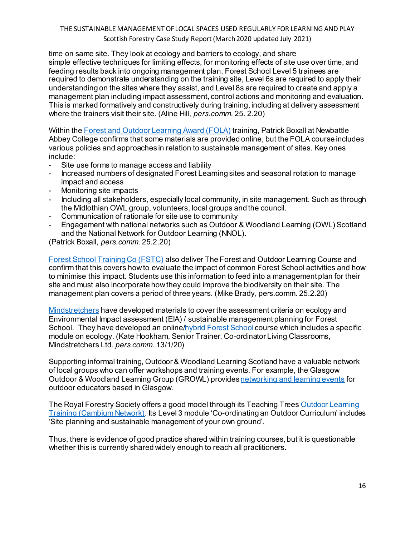time on same site. They look at ecology and barriers to ecology, and share simple effective techniques for limiting effects, for monitoring effects of site use over time, and feeding results back into ongoing management plan. Forest School Level 5 trainees are required to demonstrate understanding on the training site, Level 6s are required to apply their understanding on the sites where they assist, and Level 8s are required to create and apply a management plan including impact assessment, control actions and monitoring and evaluation. This is marked formatively and constructively during training, including at delivery assessment where the trainers visit their site. (Aline Hill, *pers.comm*. 25. 2.20)

Within the [Forest and Outdoor Learning Award \(FOLA\)](https://www.newbattleabbeycollege.ac.uk/forest-college/) training, Patrick Boxall at Newbattle Abbey College confirms that some materials are provided online, but the FOLA course includes various policies and approaches in relation to sustainable management of sites. Key ones include:

- Site use forms to manage access and liability
- Increased numbers of designated Forest Learning sites and seasonal rotation to manage impact and access
- Monitoring site impacts
- Including all stakeholders, especially local community, in site management. Such as through the Midlothian OWL group, volunteers, local groups and the council.
- Communication of rationale for site use to community
- Engagement with national networks such as Outdoor & Woodland Learning (OWL) Scotland and the National Network for Outdoor Learning (NNOL).

(Patrick Boxall, *pers.comm*. 25.2.20)

[Forest School Training Co \(FSTC\)](https://www.forestschooltraining.co.uk/training/fs-scotland/) also deliver The Forest and Outdoor Learning Course and confirm that this covers how to evaluate the impact of common Forest School activities and how to minimise this impact. Students use this information to feed into a management plan for their site and must also incorporate how they could improve the biodiversity on their site. The management plan covers a period of three years. (Mike Brady, pers.comm. 25.2.20)

[Mindstretchers](https://mindstretchers.academy/) have developed materials to cover the assessment criteria on ecology and Environmental Impact assessment (EIA) / sustainable management planning for Forest School. They have developed an onlin[e/hybrid Forest School](https://mindstretchers.academy/collections/training-and-events/products/forest-school-hybrid-course) course which includes a specific module on ecology. (Kate Hookham, Senior Trainer, Co-ordinator Living Classrooms, Mindstretchers Ltd. *pers.comm*. 13/1/20)

Supporting informal training, Outdoor & Woodland Learning Scotland have a valuable network of local groups who can offer workshops and training events. For example, the Glasgow Outdoor & Woodland Learning Group (GROWL) provide[s networking and learning events](https://www.owlscotland.org/local-groups/glasgow_fei/cluster/events) for outdoor educators based in Glasgow.

The Royal Forestry Society offers a good model through its Teaching Tree[s Outdoor Learning](https://www.rfs.org.uk/learning/teaching-trees/training-and-consultancy/outdoor-learning-training/)  [Training \(Cambium Network\).](https://www.rfs.org.uk/learning/teaching-trees/training-and-consultancy/outdoor-learning-training/) Its Level 3 module 'Co-ordinating an Outdoor Curriculum' includes 'Site planning and sustainable management of your own ground'.

Thus, there is evidence of good practice shared within training courses, but it is questionable whether this is currently shared widely enough to reach all practitioners.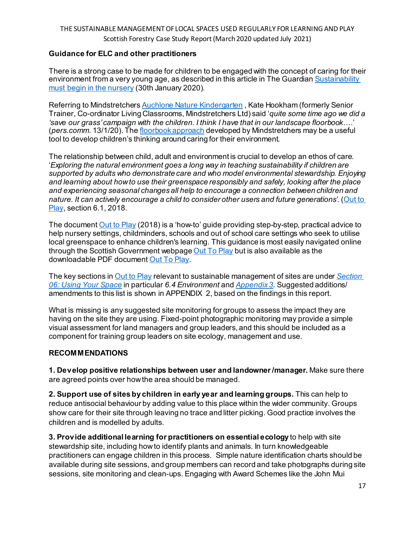#### **Guidance for ELC and other practitioners**

There is a strong case to be made for children to be engaged with the concept of caring for their environment from a very young age, as described in this article in The Guardia[n Sustainability](https://www.theguardian.com/education/2020/jan/30/sustainability-must-start-in-the-nursery?fbclid=IwAR2Oonc3uGiQQfP82tNGx2X3dM9Ku82dkRnbY8A7y-VwDgizq0wTvR1e47c)  [must begin in the nursery](https://www.theguardian.com/education/2020/jan/30/sustainability-must-start-in-the-nursery?fbclid=IwAR2Oonc3uGiQQfP82tNGx2X3dM9Ku82dkRnbY8A7y-VwDgizq0wTvR1e47c) (30th January 2020).

Referring to Mindstretcher[s Auchlone Nature Kindergarten](https://www.auchlone.co.uk/) , Kate Hookham (formerly Senior Trainer, Co-ordinator Living Classrooms, Mindstretchers Ltd) said '*quite some time ago we did a 'save our grass' campaign with the children. I think I have that in our landscape floorbook*….' (*pers.comm*. 13/1/20). Th[e floorbook approach](https://mindstretchers.academy/collections/floorbook-approach) developed by Mindstretchers may be a useful tool to develop children's thinking around caring for their environment.

The relationship between child, adult and environment is crucial to develop an ethos of care. '*Exploring the natural environment goes a long way in teaching sustainability if children are supported by adults who demonstrate care and who model environmental stewardship. Enjoying and learning about how to use their greenspace responsibly and safely, looking after the place and experiencing seasonal changes all help to encourage a connection between children and nature. It can actively encourage a child to consider other users and future generations'*. [\(Out to](https://www2.gov.scot/Resource/0054/00544754.pdf)  [Play,](https://www2.gov.scot/Resource/0054/00544754.pdf) section 6.1, 2018.

The documen[t Out to Play](https://www2.gov.scot/Resource/0054/00544754.pdf) (2018) is a 'how-to' guide providing step-by-step, practical advice to help nursery settings, childminders, schools and out of school care settings who seek to utilise local greenspace to enhance children's learning. This guidance is most easily navigated online through the Scottish Government webpag[e Out To Play](https://www.gov.scot/publications/out-play-practical-guidance-creating-outdoor-play-experiences-children/) but is also available as the downloadable PDF documen[t Out To Play.](https://www2.gov.scot/Resource/0054/00544754.pdf)

The key sections in [Out to Play](https://www2.gov.scot/Resource/0054/00544754.pdf) relevant to sustainable management of sites are under *[Section](https://www.gov.scot/publications/out-play-practical-guidance-creating-outdoor-play-experiences-children/pages/6/)  [06: Using Your Space](https://www.gov.scot/publications/out-play-practical-guidance-creating-outdoor-play-experiences-children/pages/6/)* in particular *6.4 Environment* and *[Appendix 3.](https://www.gov.scot/publications/out-play-practical-guidance-creating-outdoor-play-experiences-children/pages/11/)* Suggested additions/ amendments to this list is shown in APPENDIX 2, based on the findings in this report.

What is missing is any suggested site monitoring for groups to assess the impact they are having on the site they are using. Fixed-point photographic monitoring may provide a simple visual assessment for land managers and group leaders, and this should be included as a component for training group leaders on site ecology, management and use.

#### **RECOMMENDATIONS**

**1. Develop positive relationships between user and landowner /manager.** Make sure there are agreed points over how the area should be managed.

**2. Support use of sites by children in early year and learning groups.** This can help to reduce antisocial behaviour by adding value to this place within the wider community. Groups show care for their site through leaving no trace and litter picking. Good practice involves the children and is modelled by adults.

**3. Provide additional learning for practitioners on essential ecology** to help with site stewardship site, including how to identify plants and animals. In turn knowledgeable practitioners can engage children in this process. Simple nature identification charts should be available during site sessions, and group members can record and take photographs during site sessions, site monitoring and clean-ups. Engaging with Award Schemes like the John Mui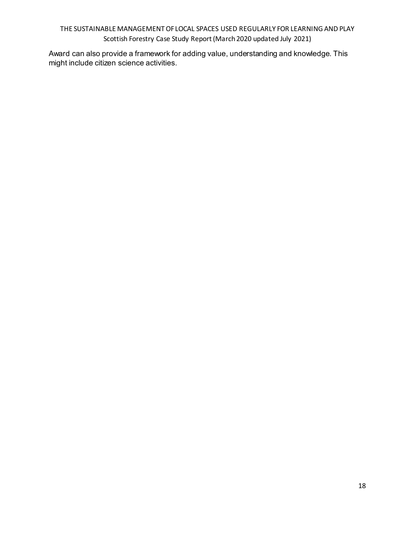Award can also provide a framework for adding value, understanding and knowledge. This might include citizen science activities.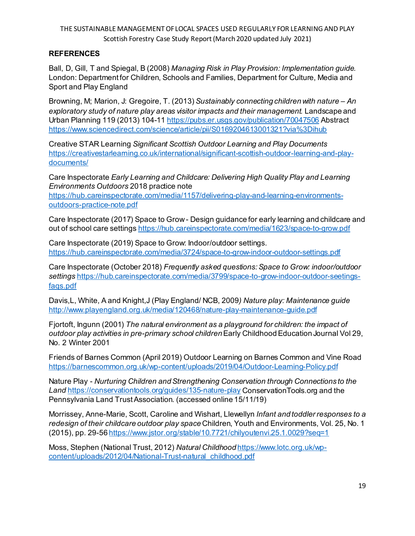### **REFERENCES**

Ball, D, Gill, T and Spiegal, B (2008) *Managing Risk in Play Provision: Implementation guide.* London: Department for Children, Schools and Families, Department for Culture, Media and Sport and Play England

Browning, M; Marion, J: Gregoire, T. (2013) *Sustainably connecting children with nature – An exploratory study of nature play areas visitor impacts and their management.* Landscape and Urban Planning 119 (2013) 104-11 <https://pubs.er.usgs.gov/publication/70047506> Abstract <https://www.sciencedirect.com/science/article/pii/S0169204613001321?via%3Dihub>

Creative STAR Learning *Significant Scottish Outdoor Learning and Play Documents* [https://creativestarlearning.co.uk/international/significant-scottish-outdoor-learning-and-play](https://creativestarlearning.co.uk/international/significant-scottish-outdoor-learning-and-play-documents/)[documents/](https://creativestarlearning.co.uk/international/significant-scottish-outdoor-learning-and-play-documents/)

Care Inspectorate *Early Learning and Childcare: Delivering High Quality Play and Learning Environments Outdoors* 2018 practice note

[https://hub.careinspectorate.com/media/1157/delivering-play-and-learning-environments](https://hub.careinspectorate.com/media/1157/delivering-play-and-learning-environments-outdoors-practice-note.pdf)[outdoors-practice-note.pdf](https://hub.careinspectorate.com/media/1157/delivering-play-and-learning-environments-outdoors-practice-note.pdf)

Care Inspectorate (2017) Space to Grow - Design guidance for early learning and childcare and out of school care settings <https://hub.careinspectorate.com/media/1623/space-to-grow.pdf>

Care Inspectorate (2019) Space to Grow: Indoor/outdoor settings. <https://hub.careinspectorate.com/media/3724/space-to-grow-indoor-outdoor-settings.pdf>

Care Inspectorate (October 2018) *Frequently asked questions: Space to Grow: indoor/outdoor settings* [https://hub.careinspectorate.com/media/3799/space-to-grow-indoor-outdoor-seetings](https://hub.careinspectorate.com/media/3799/space-to-grow-indoor-outdoor-seetings-faqs.pdf)[faqs.pdf](https://hub.careinspectorate.com/media/3799/space-to-grow-indoor-outdoor-seetings-faqs.pdf)

Davis,L, White, A and Knight,J (Play England/ NCB, 2009*) Nature play: Maintenance guide* <http://www.playengland.org.uk/media/120468/nature-play-maintenance-guide.pdf>

Fjortoft, Ingunn (2001) *The natural environment as a playground for children: the impact of outdoor play activities in pre-primary school children*Early Childhood Education Journal Vol 29, No. 2 Winter 2001

Friends of Barnes Common (April 2019) Outdoor Learning on Barnes Common and Vine Road <https://barnescommon.org.uk/wp-content/uploads/2019/04/Outdoor-Learning-Policy.pdf>

Nature Play - *Nurturing Children and Strengthening Conservation through Connections to the Land* <https://conservationtools.org/guides/135-nature-play> ConservationTools.org and the Pennsylvania Land Trust Association. (accessed online 15/11/19)

Morrissey, Anne-Marie, Scott, Caroline and Wishart, Llewellyn *Infant and toddler responses to a redesign of their childcare outdoor play space* Children, Youth and Environments, Vol. 25, No. 1 (2015), pp. 29-56 <https://www.jstor.org/stable/10.7721/chilyoutenvi.25.1.0029?seq=1>

Moss, Stephen (National Trust, 2012) *Natural Childhood* [https://www.lotc.org.uk/wp](https://www.lotc.org.uk/wp-content/uploads/2012/04/National-Trust-natural_childhood.pdf)[content/uploads/2012/04/National-Trust-natural\\_childhood.pdf](https://www.lotc.org.uk/wp-content/uploads/2012/04/National-Trust-natural_childhood.pdf)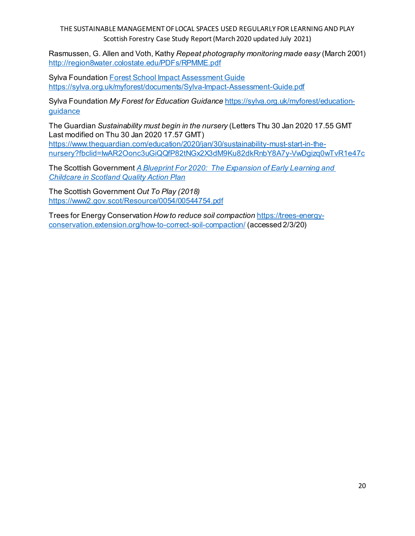Rasmussen, G. Allen and Voth, Kathy *Repeat photography monitoring made easy* (March 2001) <http://region8water.colostate.edu/PDFs/RPMME.pdf>

Sylva Foundatio[n Forest School Impact Assessment Guide](https://sylva.org.uk/myforest/documents/Sylva-Impact-Assessment-Guide.pdf) <https://sylva.org.uk/myforest/documents/Sylva-Impact-Assessment-Guide.pdf>

Sylva Foundation *My Forest for Education Guidance* [https://sylva.org.uk/myforest/education](https://sylva.org.uk/myforest/education-guidance)[guidance](https://sylva.org.uk/myforest/education-guidance)

The Guardian *Sustainability must begin in the nursery* (Letters Thu 30 Jan 2020 17.55 GMT Last modified on Thu 30 Jan 2020 17.57 GMT) [https://www.theguardian.com/education/2020/jan/30/sustainability-must-start-in-the](https://www.theguardian.com/education/2020/jan/30/sustainability-must-start-in-the-nursery?fbclid=IwAR2Oonc3uGiQQfP82tNGx2X3dM9Ku82dkRnbY8A7y-VwDgizq0wTvR1e47c)[nursery?fbclid=IwAR2Oonc3uGiQQfP82tNGx2X3dM9Ku82dkRnbY8A7y-VwDgizq0wTvR1e47c](https://www.theguardian.com/education/2020/jan/30/sustainability-must-start-in-the-nursery?fbclid=IwAR2Oonc3uGiQQfP82tNGx2X3dM9Ku82dkRnbY8A7y-VwDgizq0wTvR1e47c)

The Scottish Government *[A Blueprint For 2020: The Expansion of Early Learning and](http://www.gov.scot/Resource/0052/00526782.pdf)  [Childcare in Scotland Quality Action Plan](http://www.gov.scot/Resource/0052/00526782.pdf)*

The Scottish Government *Out To Play (2018)* <https://www2.gov.scot/Resource/0054/00544754.pdf>

Trees for Energy Conservation *How to reduce soil compaction* [https://trees-energy](https://trees-energy-conservation.extension.org/how-to-correct-soil-compaction/)[conservation.extension.org/how-to-correct-soil-compaction/](https://trees-energy-conservation.extension.org/how-to-correct-soil-compaction/) (accessed 2/3/20)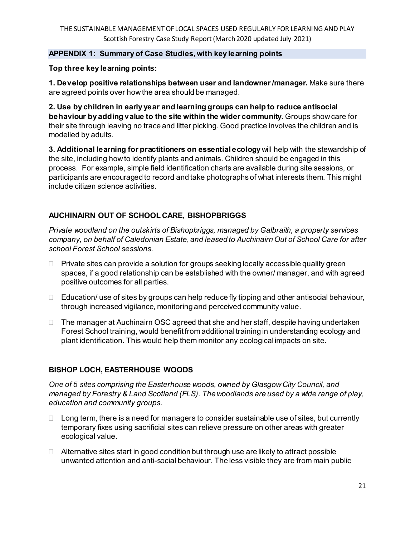## **APPENDIX 1: Summary of Case Studies, with key learning points**

**Top three key learning points:**

**1. Develop positive relationships between user and landowner /manager.** Make sure there are agreed points over how the area should be managed.

**2. Use by children in early year and learning groups can help to reduce antisocial behaviour by adding value to the site within the wider community.** Groups show care for their site through leaving no trace and litter picking. Good practice involves the children and is modelled by adults.

**3. Additional learning for practitioners on essential ecology** will help with the stewardship of the site, including how to identify plants and animals. Children should be engaged in this process. For example, simple field identification charts are available during site sessions, or participants are encouraged to record and take photographs of what interests them. This might include citizen science activities.

# **AUCHINAIRN OUT OF SCHOOL CARE, BISHOPBRIGGS**

*Private woodland on the outskirts of Bishopbriggs, managed by Galbraith, a property services company, on behalf of Caledonian Estate, and leased to Auchinairn Out of School Care for after school Forest School sessions.*

- $\Box$  Private sites can provide a solution for groups seeking locally accessible quality green spaces, if a good relationship can be established with the owner/ manager, and with agreed positive outcomes for all parties.
- $\Box$  Education/ use of sites by groups can help reduce fly tipping and other antisocial behaviour, through increased vigilance, monitoring and perceived community value.
- $\Box$  The manager at Auchinairn OSC agreed that she and her staff, despite having undertaken Forest School training, would benefit from additional training in understanding ecology and plant identification. This would help them monitor any ecological impacts on site.

# **BISHOP LOCH, EASTERHOUSE WOODS**

*One of 5 sites comprising the Easterhouse woods, owned by Glasgow City Council, and managed by Forestry & Land Scotland (FLS). The woodlands are used by a wide range of play, education and community groups.*

- $\Box$  Long term, there is a need for managers to consider sustainable use of sites, but currently temporary fixes using sacrificial sites can relieve pressure on other areas with greater ecological value.
- $\Box$  Alternative sites start in good condition but through use are likely to attract possible unwanted attention and anti-social behaviour. The less visible they are from main public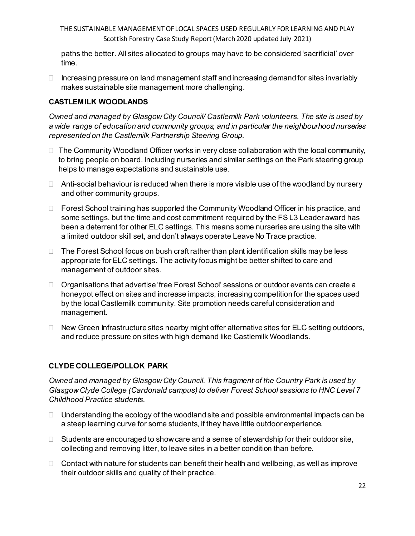paths the better. All sites allocated to groups may have to be considered 'sacrificial' over time.

 $\Box$  Increasing pressure on land management staff and increasing demand for sites invariably makes sustainable site management more challenging.

### **CASTLEMILK WOODLANDS**

*Owned and managed by Glasgow City Council/ Castlemilk Park volunteers. The site is used by a wide range of education and community groups, and in particular the neighbourhood nurseries represented on the Castlemilk Partnership Steering Group.*

- $\Box$  The Community Woodland Officer works in very close collaboration with the local community, to bring people on board. Including nurseries and similar settings on the Park steering group helps to manage expectations and sustainable use.
- $\Box$  Anti-social behaviour is reduced when there is more visible use of the woodland by nursery and other community groups.
- $\Box$  Forest School training has supported the Community Woodland Officer in his practice, and some settings, but the time and cost commitment required by the FS L3 Leader award has been a deterrent for other ELC settings. This means some nurseries are using the site with a limited outdoor skill set, and don't always operate Leave No Trace practice.
- $\Box$  The Forest School focus on bush craft rather than plant identification skills may be less appropriate for ELC settings. The activity focus might be better shifted to care and management of outdoor sites.
- $\Box$  Organisations that advertise 'free Forest School' sessions or outdoor events can create a honeypot effect on sites and increase impacts, increasing competition for the spaces used by the local Castlemilk community. Site promotion needs careful consideration and management.
- $\Box$  New Green Infrastructure sites nearby might offer alternative sites for ELC setting outdoors, and reduce pressure on sites with high demand like Castlemilk Woodlands.

## **CLYDE COLLEGE/POLLOK PARK**

*Owned and managed by Glasgow City Council. This fragment of the Country Park is used by Glasgow Clyde College (Cardonald campus) to deliver Forest School sessions to HNC Level 7 Childhood Practice students.*

- $\Box$  Understanding the ecology of the woodland site and possible environmental impacts can be a steep learning curve for some students, if they have little outdoor experience.
- $\Box$  Students are encouraged to show care and a sense of stewardship for their outdoor site, collecting and removing litter, to leave sites in a better condition than before.
- $\Box$  Contact with nature for students can benefit their health and wellbeing, as well as improve their outdoor skills and quality of their practice.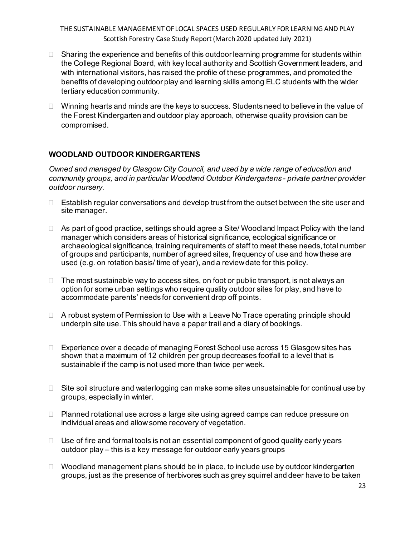- $\Box$  Sharing the experience and benefits of this outdoor learning programme for students within the College Regional Board, with key local authority and Scottish Government leaders, and with international visitors, has raised the profile of these programmes, and promoted the benefits of developing outdoor play and learning skills among ELC students with the wider tertiary education community.
- $\Box$  Winning hearts and minds are the keys to success. Students need to believe in the value of the Forest Kindergarten and outdoor play approach, otherwise quality provision can be compromised.

## **WOODLAND OUTDOOR KINDERGARTENS**

*Owned and managed by Glasgow City Council, and used by a wide range of education and community groups, and in particular Woodland Outdoor Kindergartens - private partner provider outdoor nursery.* 

- $\Box$  Establish regular conversations and develop trust from the outset between the site user and site manager.
- $\Box$  As part of good practice, settings should agree a Site/ Woodland Impact Policy with the land manager which considers areas of historical significance, ecological significance or archaeological significance, training requirements of staff to meet these needs, total number of groups and participants, number of agreed sites, frequency of use and how these are used (e.g. on rotation basis/ time of year), and a review date for this policy.
- $\Box$  The most sustainable way to access sites, on foot or public transport, is not always an option for some urban settings who require quality outdoor sites for play, and have to accommodate parents' needs for convenient drop off points.
- □ A robust system of Permission to Use with a Leave No Trace operating principle should underpin site use. This should have a paper trail and a diary of bookings.
- □ Experience over a decade of managing Forest School use across 15 Glasgow sites has shown that a maximum of 12 children per group decreases footfall to a level that is sustainable if the camp is not used more than twice per week.
- $\Box$  Site soil structure and waterlogging can make some sites unsustainable for continual use by groups, especially in winter.
- $\Box$  Planned rotational use across a large site using agreed camps can reduce pressure on individual areas and allow some recovery of vegetation.
- $\Box$  Use of fire and formal tools is not an essential component of good quality early years outdoor play – this is a key message for outdoor early years groups
- $\Box$  Woodland management plans should be in place, to include use by outdoor kindergarten groups, just as the presence of herbivores such as grey squirrel and deer have to be taken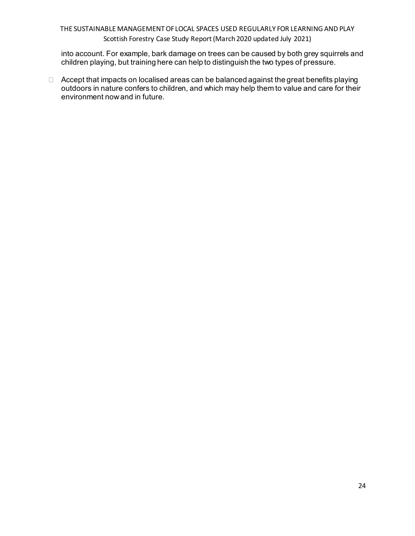into account. For example, bark damage on trees can be caused by both grey squirrels and children playing, but training here can help to distinguish the two types of pressure.

 $\Box$  Accept that impacts on localised areas can be balanced against the great benefits playing outdoors in nature confers to children, and which may help them to value and care for their environment now and in future.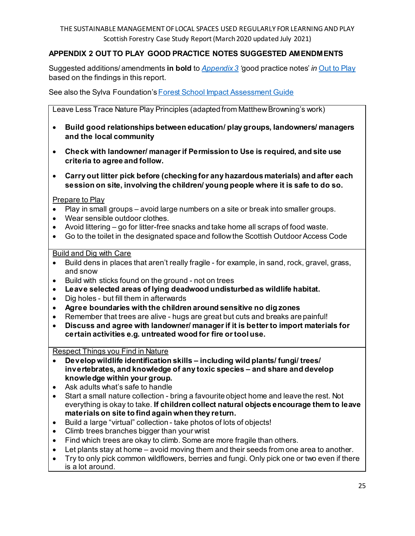# **APPENDIX 2 OUT TO PLAY GOOD PRACTICE NOTES SUGGESTED AMENDMENTS**

Suggested additions/ amendments **in bold** to *[Appendix 3](https://www.gov.scot/publications/out-play-practical-guidance-creating-outdoor-play-experiences-children/pages/11/) '*good practice notes' *in* [Out to Play](https://www2.gov.scot/Resource/0054/00544754.pdf) based on the findings in this report.

See also the Sylva Foundation's Forest School Impact Assessment Guide

Leave Less Trace Nature Play Principles (adapted from Matthew Browning's work)

- **Build good relationships between education/ play groups, landowners/ managers and the local community**
- **Check with landowner/ manager if Permission to Use is required, and site use criteria to agree and follow.**
- **Carry out litter pick before (checking for any hazardous materials) and after each session on site, involving the children/ young people where it is safe to do so.**

Prepare to Play

- Play in small groups avoid large numbers on a site or break into smaller groups.
- Wear sensible outdoor clothes.
- Avoid littering go for litter-free snacks and take home all scraps of food waste.
- Go to the toilet in the designated space and follow the Scottish Outdoor Access Code

#### Build and Dig with Care

- Build dens in places that aren't really fragile for example, in sand, rock, gravel, grass, and snow
- Build with sticks found on the ground not on trees
- **Leave selected areas of lying deadwood undisturbed as wildlife habitat.**
- Dig holes but fill them in afterwards
- **Agree boundaries with the children around sensitive no dig zones**
- Remember that trees are alive hugs are great but cuts and breaks are painful!
- **Discuss and agree with landowner/ manager if it is better to import materials for certain activities e.g. untreated wood for fire or tool use.**

Respect Things you Find in Nature

- **Develop wildlife identification skills – including wild plants/ fungi/ trees/ invertebrates, and knowledge of any toxic species – and share and develop knowledge within your group.**
- Ask adults what's safe to handle
- Start a small nature collection bring a favourite object home and leave the rest. Not everything is okay to take. **If children collect natural objects encourage them to leave materials on site to find again when they return.**
- Build a large "virtual" collection take photos of lots of objects!
- Climb trees branches bigger than your wrist
- Find which trees are okay to climb. Some are more fragile than others.
- Let plants stay at home avoid moving them and their seeds from one area to another.
- Try to only pick common wildflowers, berries and fungi. Only pick one or two even if there is a lot around.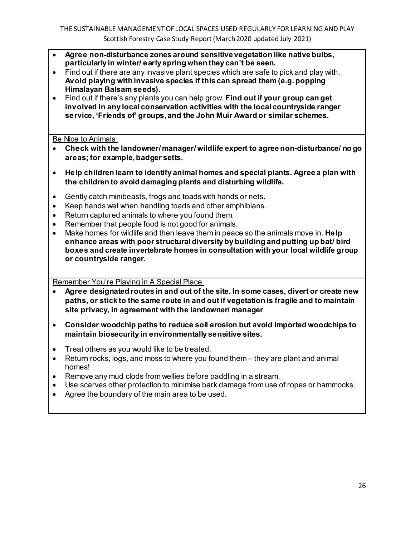- **Agree non-disturbance zones around sensitive vegetation like native bulbs, particularly in winter/ early spring when they can't be seen.**
- Find out if there are any invasive plant species which are safe to pick and play with. **Avoid playing with invasive species if this can spread them (e.g. popping Himalayan Balsam seeds).**
- Find out if there's any plants you can help grow. **Find out if your group can get involved in any local conservation activities with the local countryside ranger service, 'Friends of' groups, and the John Muir Award or similar schemes.**

Be Nice to Animals

- **Check with the landowner/ manager/ wildlife expert to agree non-disturbance/ no go areas; for example, badger setts.**
- **Help children learn to identify animal homes and special plants. Agree a plan with the children to avoid damaging plants and disturbing wildlife.**
- Gently catch minibeasts, frogs and toads with hands or nets.
- Keep hands wet when handling toads and other amphibians.
- Return captured animals to where you found them.
- Remember that people food is not good for animals.
- Make homes for wildlife and then leave them in peace so the animals move in. **Help enhance areas with poor structural diversity by building and putting up bat/ bird boxes and create invertebrate homes in consultation with your local wildlife group or countryside ranger.**

Remember You're Playing in A Special Place

- **Agree designated routes in and out of the site. In some cases, divert or create new paths, or stick to the same route in and out if vegetation is fragile and to maintain site privacy, in agreement with the landowner/ manager**.
- **Consider woodchip paths to reduce soil erosion but avoid imported woodchips to maintain biosecurity in environmentally sensitive sites.**
- Treat others as you would like to be treated.
- Return rocks, logs, and moss to where you found them they are plant and animal homes!
- Remove any mud clods from wellies before paddling in a stream.
- Use scarves other protection to minimise bark damage from use of ropes or hammocks.
- Agree the boundary of the main area to be used.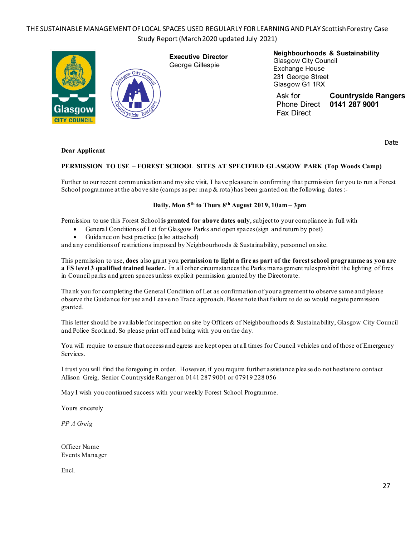

**Neighbourhoods & Sustainability** Glasgow City Council Exchange House 231 George Street Glasgow G1 1RX

Ask for **Countryside Rangers Phone Direct** Fax Direct

Date

#### **Dear Applicant**

#### **PERMISSION TO USE – FOREST SCHOOL SITES AT SPECIFIED GLASGOW PARK (Top Woods Camp)**

Further to our recent communication and my site visit, I have pleasure in confirming that permission for you to run a Forest School programme at the above site (camps as per map & rota) has been granted on the following dates :-

#### **Daily, Mon 5th to Thurs 8th August 2019, 10am – 3pm**

Permission to use this Forest School **is granted for above dates only**, subject to your compliance in full with

- General Conditions of Let for Glasgow Parks and open spaces (sign and return by post)
- Guidance on best practice (also attached)

and any conditions of restrictions imposed by Neighbourhoods & Sustainability, personnel on site.

This permission to use, **does** also grant you **permission to light a fire as part of the forest school programme as you are a FS level 3 qualified trained leader.** In all other circumstances the Parks management rules prohibit the lighting of fires in Council parks and green spaces unless explicit permission granted by the Directorate.

Thank you for completing the General Condition of Let as confirmation of your agreement to observe same and please observe the Guidance for use and Leave no Trace approach. Please note that failure to do so would negate permission granted.

This letter should be available for inspection on site by Officers of Neighbourhoods & Sustainability, Glasgow City Council and Police Scotland. So please print off and bring with you on the day.

You will require to ensure that access and egress are kept open at all times for Council vehicles and of those of Emergency Services.

I trust you will find the foregoing in order. However, if you require further assistance please do not hesitate to contact Allison Greig, Senior Countryside Ranger on 0141 287 9001 or 07919 228 056

May I wish you continued success with your weekly Forest School Programme.

Yours sincerely

*PP A Greig*

Officer Name Events Manager

Encl.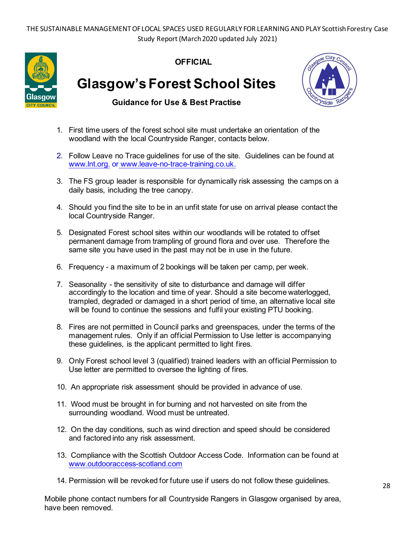

**OFFICIAL**

**Glasgow's Forest School Sites**



**Guidance for Use & Best Practise**

- 1. First time users of the forest school site must undertake an orientation of the woodland with the local Countryside Ranger, contacts below.
- 2. Follow Leave no Trace guidelines for use of the site. Guidelines can be found at www.lnt.org. or www.leave-no-trace-training.co.uk.
- 3. The FS group leader is responsible for dynamically risk assessing the camps on a daily basis, including the tree canopy.
- 4. Should you find the site to be in an unfit state for use on arrival please contact the local Countryside Ranger.
- 5. Designated Forest school sites within our woodlands will be rotated to offset permanent damage from trampling of ground flora and over use. Therefore the same site you have used in the past may not be in use in the future.
- 6. Frequency a maximum of 2 bookings will be taken per camp, per week.
- 7. Seasonality the sensitivity of site to disturbance and damage will differ accordingly to the location and time of year. Should a site become waterlogged, trampled, degraded or damaged in a short period of time, an alternative local site will be found to continue the sessions and fulfil your existing PTU booking.
- 8. Fires are not permitted in Council parks and greenspaces, under the terms of the management rules. Only if an official Permission to Use letter is accompanying these guidelines, is the applicant permitted to light fires.
- 9. Only Forest school level 3 (qualified) trained leaders with an official Permission to Use letter are permitted to oversee the lighting of fires.
- 10. An appropriate risk assessment should be provided in advance of use.
- 11. Wood must be brought in for burning and not harvested on site from the surrounding woodland. Wood must be untreated.
- 12. On the day conditions, such as wind direction and speed should be considered and factored into any risk assessment.
- 13. Compliance with the Scottish Outdoor Access Code. Information can be found at www.outdooraccess-scotland.com
- 14. Permission will be revoked for future use if users do not follow these guidelines.

Mobile phone contact numbers for all Countryside Rangers in Glasgow organised by area, have been removed.